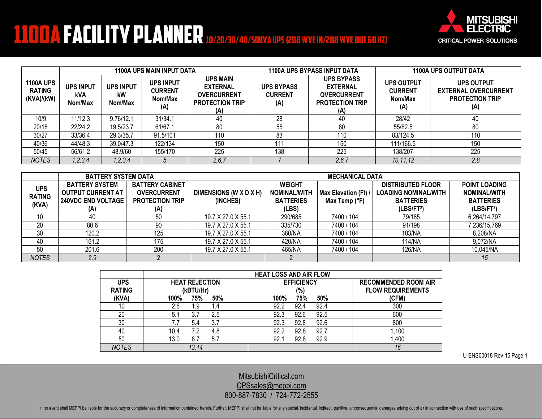## **1100A FACILITY PLANNER** 10/20/30/40/50KVA UPS (208 WYEIN/208 WYEOUT GO HZ)



|                                                 | <b>1100A UPS MAIN INPUT DATA</b>   |                                   |                                                      |                                                                                           | <b>1100A UPS BYPASS INPUT DATA</b>         |                                                                                             | <b>1100A UPS OUTPUT DATA</b>                          |                                                                                   |
|-------------------------------------------------|------------------------------------|-----------------------------------|------------------------------------------------------|-------------------------------------------------------------------------------------------|--------------------------------------------|---------------------------------------------------------------------------------------------|-------------------------------------------------------|-----------------------------------------------------------------------------------|
| <b>1100A UPS</b><br><b>RATING</b><br>(KVA)/(kW) | <b>UPS INPUT</b><br>kVA<br>Nom/Max | <b>UPS INPUT</b><br>kW<br>Nom/Max | <b>UPS INPUT</b><br><b>CURRENT</b><br>Nom/Max<br>(A) | <b>UPS MAIN</b><br><b>EXTERNAL</b><br><b>OVERCURRENT</b><br><b>PROTECTION TRIP</b><br>(A) | <b>UPS BYPASS</b><br><b>CURRENT</b><br>(A) | <b>UPS BYPASS</b><br><b>EXTERNAL</b><br><b>OVERCURRENT</b><br><b>PROTECTION TRIP</b><br>(A) | <b>UPS OUTPUT</b><br><b>CURRENT</b><br>Nom/Max<br>(A) | <b>UPS OUTPUT</b><br><b>EXTERNAL OVERCURRENT</b><br><b>PROTECTION TRIP</b><br>(A) |
| 10/9                                            | 11/12.3                            | 9.76/12.1                         | 31/34.1                                              | 40                                                                                        | 28                                         | 40                                                                                          | 28/42                                                 | 40                                                                                |
| 20/18                                           | 22/24.2                            | 19.5/23.7                         | 61/67.1                                              | 80                                                                                        | 55                                         | 80                                                                                          | 55/82.5                                               | 80                                                                                |
| 30/27                                           | 33/36.4                            | 29.3/35.7                         | 91.5/101                                             | 110                                                                                       | 83                                         | 110                                                                                         | 83/124.5                                              | 110                                                                               |
| 40/36                                           | 44/48.3                            | 39.0/47.3                         | 122/134                                              | 150                                                                                       | 11 <sup>·</sup>                            | 150                                                                                         | 111/166.5                                             | 150                                                                               |
| 50/45                                           | 56/61.2                            | 48.9/60                           | 155/170                                              | 225                                                                                       | 138                                        | 225                                                                                         | 138/207                                               | 225                                                                               |
| <b>NOTES</b>                                    | 1, 2, 3, 4                         | 1, 2, 3, 4                        |                                                      | 2, 6, 7                                                                                   |                                            | 2, 6, 7                                                                                     | 10, 11, 12                                            | 2,8                                                                               |

|                                      | <b>BATTERY SYSTEM DATA</b>                                                            |                                                                               | <b>MECHANICAL DATA</b>             |                                                                   |                                       |                                                                                                       |                                                                                           |
|--------------------------------------|---------------------------------------------------------------------------------------|-------------------------------------------------------------------------------|------------------------------------|-------------------------------------------------------------------|---------------------------------------|-------------------------------------------------------------------------------------------------------|-------------------------------------------------------------------------------------------|
| <b>UPS</b><br><b>RATING</b><br>(KVA) | <b>BATTERY SYSTEM</b><br><b>OUTPUT CURRENT AT</b><br><b>240VDC END VOLTAGE</b><br>(A) | <b>BATTERY CABINET</b><br><b>OVERCURRENT</b><br><b>PROTECTION TRIP</b><br>(A) | DIMENSIONS (W X D X H)<br>(INCHES) | <b>WEIGHT</b><br><b>NOMINAL/WITH</b><br><b>BATTERIES</b><br>(LBS) | Max Elevation (Ft) /<br>Max Temp (°F) | <b>DISTRIBUTED FLOOR</b><br><b>LOADING NOMINAL/WITH</b><br><b>BATTERIES</b><br>(LBS/FT <sup>2</sup> ) | <b>POINT LOADING</b><br><b>NOMINAL/WITH</b><br><b>BATTERIES</b><br>(LBS/FT <sup>2</sup> ) |
| 10                                   | 40                                                                                    | 50                                                                            | 19.7 X 27.0 X 55.1                 | 290/685                                                           | 7400 / 104                            | 79/185                                                                                                | 6,264/14,797                                                                              |
| 20                                   | 80.6                                                                                  | 90                                                                            | 19.7 X 27.0 X 55.1                 | 335/730                                                           | 7400 / 104                            | 91/198                                                                                                | 7,236/15,769                                                                              |
| 30                                   | 120.2                                                                                 | 125                                                                           | 19.7 X 27.0 X 55.1                 | 380/NA                                                            | 7400 / 104                            | 103/NA                                                                                                | 8,208/NA                                                                                  |
| 40                                   | 161.2                                                                                 | 175                                                                           | 19.7 X 27.0 X 55.1                 | 420/NA                                                            | 7400 / 104                            | 114/NA                                                                                                | 9,072/NA                                                                                  |
| 50                                   | 201.6                                                                                 | 200                                                                           | 19.7 X 27.0 X 55.1                 | 465/NA                                                            | 7400 / 104                            | 126/NA                                                                                                | 10,045/NA                                                                                 |
| <b>NOTES</b>                         | 2,9                                                                                   |                                                                               |                                    |                                                                   |                                       |                                                                                                       | 15                                                                                        |

|               | <b>HEAT LOSS AND AIR FLOW</b> |                      |                             |  |  |  |  |  |
|---------------|-------------------------------|----------------------|-----------------------------|--|--|--|--|--|
| <b>UPS</b>    | <b>HEAT REJECTION</b>         | <b>EFFICIENCY</b>    | <b>RECOMMENDED ROOM AIR</b> |  |  |  |  |  |
| <b>RATING</b> | (kBTU/Hr)                     | (%)                  | <b>FLOW REQUIREMENTS</b>    |  |  |  |  |  |
| (KVA)         | 100%<br>75%<br>50%            | 75%<br>50%<br>100%   | (CFM)                       |  |  |  |  |  |
| 10            | 2.6<br>9.،<br>1.4             | 92.4<br>92.2<br>92.4 | 300                         |  |  |  |  |  |
| 20            | 2.5<br>3.7<br>5.1             | 92.5<br>92.3<br>92.6 | 600                         |  |  |  |  |  |
| 30            | 3.7<br>5.4                    | 92.3<br>92.6<br>92.8 | 800                         |  |  |  |  |  |
| 40            | 10.4<br>4.8<br>7.2            | 92.7<br>92.8<br>92.2 | 1.100                       |  |  |  |  |  |
| 50            | 13.0<br>5.7<br>8.7            | 92.8<br>92.9<br>92.  | 1,400                       |  |  |  |  |  |
| <b>NOTES</b>  | 13,14                         |                      | 16                          |  |  |  |  |  |

U-ENS00018 Rev 15 Page 1

[MitsubishiCritical.com](http://www.mitsubishicritical.com/) [CPSsales@meppi.com](mailto:CPSsales@meppi.com) 800-887-7830 / 724-772-2555